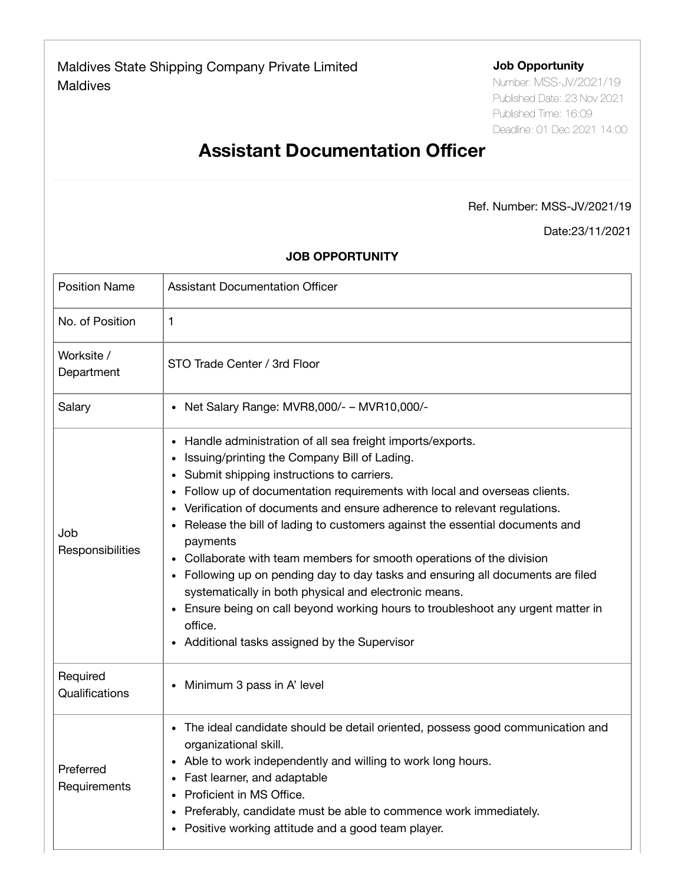Required

## **Job Opportunity**

Number: MSS-JV/2021/19 Published Date: 23 Nov 2021 Published Time: 16:09 Deadline: 01 Dec 2021 14:00

## **Assistant Documentation Officer**

## Ref. Number: MSS-JV/2021/19

Date:23/11/2021

| <b>Position Name</b>     | Assistant Documentation Officer                                                                                                                                                                                                                                                                                                                                                                                                                                                                                                                                                                                                                                                                                                                                                          |
|--------------------------|------------------------------------------------------------------------------------------------------------------------------------------------------------------------------------------------------------------------------------------------------------------------------------------------------------------------------------------------------------------------------------------------------------------------------------------------------------------------------------------------------------------------------------------------------------------------------------------------------------------------------------------------------------------------------------------------------------------------------------------------------------------------------------------|
| No. of Position          | 1                                                                                                                                                                                                                                                                                                                                                                                                                                                                                                                                                                                                                                                                                                                                                                                        |
| Worksite /<br>Department | STO Trade Center / 3rd Floor                                                                                                                                                                                                                                                                                                                                                                                                                                                                                                                                                                                                                                                                                                                                                             |
| Salary                   | Net Salary Range: MVR8,000/- - MVR10,000/-                                                                                                                                                                                                                                                                                                                                                                                                                                                                                                                                                                                                                                                                                                                                               |
| Job<br>Responsibilities  | • Handle administration of all sea freight imports/exports.<br>Issuing/printing the Company Bill of Lading.<br>Submit shipping instructions to carriers.<br>Follow up of documentation requirements with local and overseas clients.<br>Verification of documents and ensure adherence to relevant regulations.<br>Release the bill of lading to customers against the essential documents and<br>$\bullet$<br>payments<br>Collaborate with team members for smooth operations of the division<br>Following up on pending day to day tasks and ensuring all documents are filed<br>systematically in both physical and electronic means.<br>• Ensure being on call beyond working hours to troubleshoot any urgent matter in<br>office.<br>• Additional tasks assigned by the Supervisor |

## **JOB OPPORTUNITY**

| negulieu<br>Qualifications | Minimum 3 pass in A' level<br>$\bullet$                                                                                                                                                                                                                                                                                                                                                       |
|----------------------------|-----------------------------------------------------------------------------------------------------------------------------------------------------------------------------------------------------------------------------------------------------------------------------------------------------------------------------------------------------------------------------------------------|
| Preferred<br>Requirements  | The ideal candidate should be detail oriented, possess good communication and<br>٠<br>organizational skill.<br>• Able to work independently and willing to work long hours.<br>• Fast learner, and adaptable<br>Proficient in MS Office.<br>$\bullet$<br>Preferably, candidate must be able to commence work immediately.<br>$\bullet$<br>• Positive working attitude and a good team player. |
|                            |                                                                                                                                                                                                                                                                                                                                                                                               |